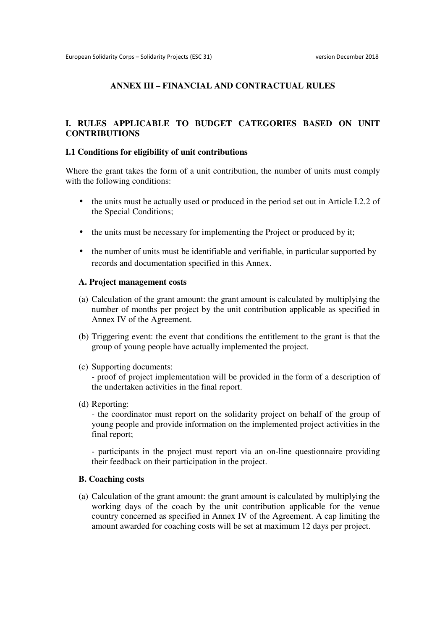### **ANNEX III – FINANCIAL AND CONTRACTUAL RULES**

#### **I. RULES APPLICABLE TO BUDGET CATEGORIES BASED ON UNIT CONTRIBUTIONS**

#### **I.1 Conditions for eligibility of unit contributions**

Where the grant takes the form of a unit contribution, the number of units must comply with the following conditions:

- the units must be actually used or produced in the period set out in Article I.2.2 of the Special Conditions;
- the units must be necessary for implementing the Project or produced by it;
- the number of units must be identifiable and verifiable, in particular supported by records and documentation specified in this Annex.

#### **A. Project management costs**

- (a) Calculation of the grant amount: the grant amount is calculated by multiplying the number of months per project by the unit contribution applicable as specified in Annex IV of the Agreement.
- (b) Triggering event: the event that conditions the entitlement to the grant is that the group of young people have actually implemented the project.
- (c) Supporting documents:

- proof of project implementation will be provided in the form of a description of the undertaken activities in the final report.

(d) Reporting:

- the coordinator must report on the solidarity project on behalf of the group of young people and provide information on the implemented project activities in the final report;

- participants in the project must report via an on-line questionnaire providing their feedback on their participation in the project.

#### **B. Coaching costs**

(a) Calculation of the grant amount: the grant amount is calculated by multiplying the working days of the coach by the unit contribution applicable for the venue country concerned as specified in Annex IV of the Agreement. A cap limiting the amount awarded for coaching costs will be set at maximum 12 days per project.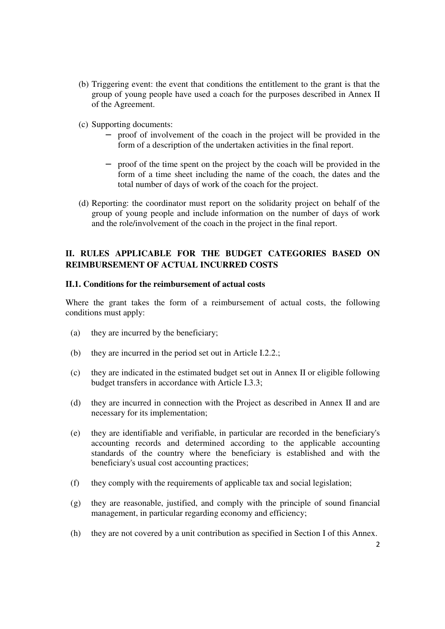- (b) Triggering event: the event that conditions the entitlement to the grant is that the group of young people have used a coach for the purposes described in Annex II of the Agreement.
- (c) Supporting documents:
	- − proof of involvement of the coach in the project will be provided in the form of a description of the undertaken activities in the final report.
	- − proof of the time spent on the project by the coach will be provided in the form of a time sheet including the name of the coach, the dates and the total number of days of work of the coach for the project.
- (d) Reporting: the coordinator must report on the solidarity project on behalf of the group of young people and include information on the number of days of work and the role/involvement of the coach in the project in the final report.

## **II. RULES APPLICABLE FOR THE BUDGET CATEGORIES BASED ON REIMBURSEMENT OF ACTUAL INCURRED COSTS**

#### **II.1. Conditions for the reimbursement of actual costs**

Where the grant takes the form of a reimbursement of actual costs, the following conditions must apply:

- (a) they are incurred by the beneficiary;
- (b) they are incurred in the period set out in Article I.2.2.;
- (c) they are indicated in the estimated budget set out in Annex II or eligible following budget transfers in accordance with Article I.3.3;
- (d) they are incurred in connection with the Project as described in Annex II and are necessary for its implementation;
- (e) they are identifiable and verifiable, in particular are recorded in the beneficiary's accounting records and determined according to the applicable accounting standards of the country where the beneficiary is established and with the beneficiary's usual cost accounting practices;
- (f) they comply with the requirements of applicable tax and social legislation;
- (g) they are reasonable, justified, and comply with the principle of sound financial management, in particular regarding economy and efficiency;
- (h) they are not covered by a unit contribution as specified in Section I of this Annex.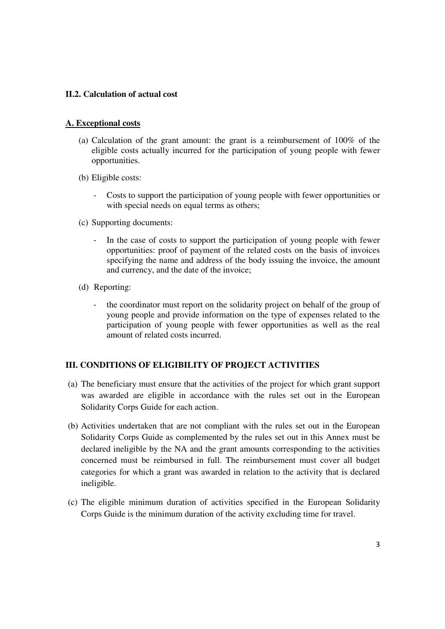### **II.2. Calculation of actual cost**

### **A. Exceptional costs**

- (a) Calculation of the grant amount: the grant is a reimbursement of 100% of the eligible costs actually incurred for the participation of young people with fewer opportunities.
- (b) Eligible costs:
	- Costs to support the participation of young people with fewer opportunities or with special needs on equal terms as others;
- (c) Supporting documents:
	- In the case of costs to support the participation of young people with fewer opportunities: proof of payment of the related costs on the basis of invoices specifying the name and address of the body issuing the invoice, the amount and currency, and the date of the invoice;
- (d) Reporting:
	- the coordinator must report on the solidarity project on behalf of the group of young people and provide information on the type of expenses related to the participation of young people with fewer opportunities as well as the real amount of related costs incurred.

### **III. CONDITIONS OF ELIGIBILITY OF PROJECT ACTIVITIES**

- (a) The beneficiary must ensure that the activities of the project for which grant support was awarded are eligible in accordance with the rules set out in the European Solidarity Corps Guide for each action.
- (b) Activities undertaken that are not compliant with the rules set out in the European Solidarity Corps Guide as complemented by the rules set out in this Annex must be declared ineligible by the NA and the grant amounts corresponding to the activities concerned must be reimbursed in full. The reimbursement must cover all budget categories for which a grant was awarded in relation to the activity that is declared ineligible.
- (c) The eligible minimum duration of activities specified in the European Solidarity Corps Guide is the minimum duration of the activity excluding time for travel.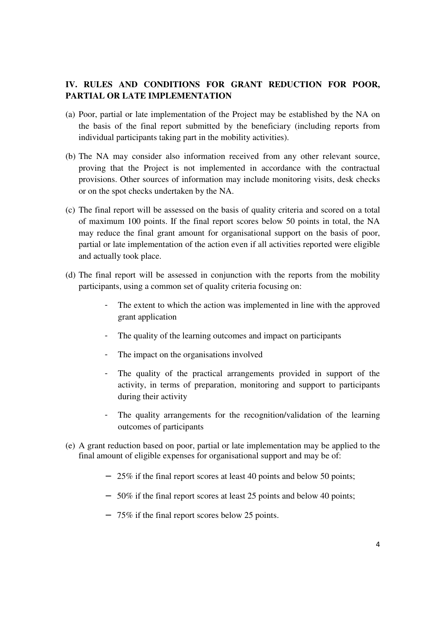# **IV. RULES AND CONDITIONS FOR GRANT REDUCTION FOR POOR, PARTIAL OR LATE IMPLEMENTATION**

- (a) Poor, partial or late implementation of the Project may be established by the NA on the basis of the final report submitted by the beneficiary (including reports from individual participants taking part in the mobility activities).
- (b) The NA may consider also information received from any other relevant source, proving that the Project is not implemented in accordance with the contractual provisions. Other sources of information may include monitoring visits, desk checks or on the spot checks undertaken by the NA.
- (c) The final report will be assessed on the basis of quality criteria and scored on a total of maximum 100 points. If the final report scores below 50 points in total, the NA may reduce the final grant amount for organisational support on the basis of poor, partial or late implementation of the action even if all activities reported were eligible and actually took place.
- (d) The final report will be assessed in conjunction with the reports from the mobility participants, using a common set of quality criteria focusing on:
	- The extent to which the action was implemented in line with the approved grant application
	- The quality of the learning outcomes and impact on participants
	- The impact on the organisations involved
	- The quality of the practical arrangements provided in support of the activity, in terms of preparation, monitoring and support to participants during their activity
	- The quality arrangements for the recognition/validation of the learning outcomes of participants
- (e) A grant reduction based on poor, partial or late implementation may be applied to the final amount of eligible expenses for organisational support and may be of:
	- − 25% if the final report scores at least 40 points and below 50 points;
	- − 50% if the final report scores at least 25 points and below 40 points;
	- − 75% if the final report scores below 25 points.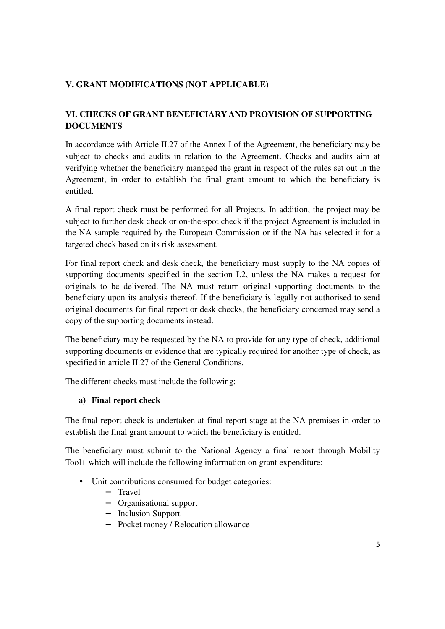# **V. GRANT MODIFICATIONS (NOT APPLICABLE)**

# **VI. CHECKS OF GRANT BENEFICIARY AND PROVISION OF SUPPORTING DOCUMENTS**

In accordance with Article II.27 of the Annex I of the Agreement, the beneficiary may be subject to checks and audits in relation to the Agreement. Checks and audits aim at verifying whether the beneficiary managed the grant in respect of the rules set out in the Agreement, in order to establish the final grant amount to which the beneficiary is entitled.

A final report check must be performed for all Projects. In addition, the project may be subject to further desk check or on-the-spot check if the project Agreement is included in the NA sample required by the European Commission or if the NA has selected it for a targeted check based on its risk assessment.

For final report check and desk check, the beneficiary must supply to the NA copies of supporting documents specified in the section I.2, unless the NA makes a request for originals to be delivered. The NA must return original supporting documents to the beneficiary upon its analysis thereof. If the beneficiary is legally not authorised to send original documents for final report or desk checks, the beneficiary concerned may send a copy of the supporting documents instead.

The beneficiary may be requested by the NA to provide for any type of check, additional supporting documents or evidence that are typically required for another type of check, as specified in article II.27 of the General Conditions.

The different checks must include the following:

# **a) Final report check**

The final report check is undertaken at final report stage at the NA premises in order to establish the final grant amount to which the beneficiary is entitled.

The beneficiary must submit to the National Agency a final report through Mobility Tool+ which will include the following information on grant expenditure:

- Unit contributions consumed for budget categories:
	- − Travel
	- − Organisational support
	- − Inclusion Support
	- − Pocket money / Relocation allowance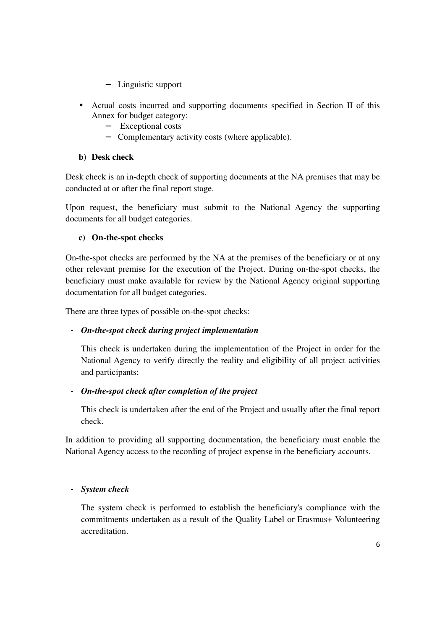- − Linguistic support
- Actual costs incurred and supporting documents specified in Section II of this Annex for budget category:
	- − Exceptional costs
	- − Complementary activity costs (where applicable).

## **b) Desk check**

Desk check is an in-depth check of supporting documents at the NA premises that may be conducted at or after the final report stage.

Upon request, the beneficiary must submit to the National Agency the supporting documents for all budget categories.

### **c) On-the-spot checks**

On-the-spot checks are performed by the NA at the premises of the beneficiary or at any other relevant premise for the execution of the Project. During on-the-spot checks, the beneficiary must make available for review by the National Agency original supporting documentation for all budget categories.

There are three types of possible on-the-spot checks:

# - *On-the-spot check during project implementation*

This check is undertaken during the implementation of the Project in order for the National Agency to verify directly the reality and eligibility of all project activities and participants;

# - *On-the-spot check after completion of the project*

This check is undertaken after the end of the Project and usually after the final report check.

In addition to providing all supporting documentation, the beneficiary must enable the National Agency access to the recording of project expense in the beneficiary accounts.

### - *System check*

The system check is performed to establish the beneficiary's compliance with the commitments undertaken as a result of the Quality Label or Erasmus+ Volunteering accreditation.